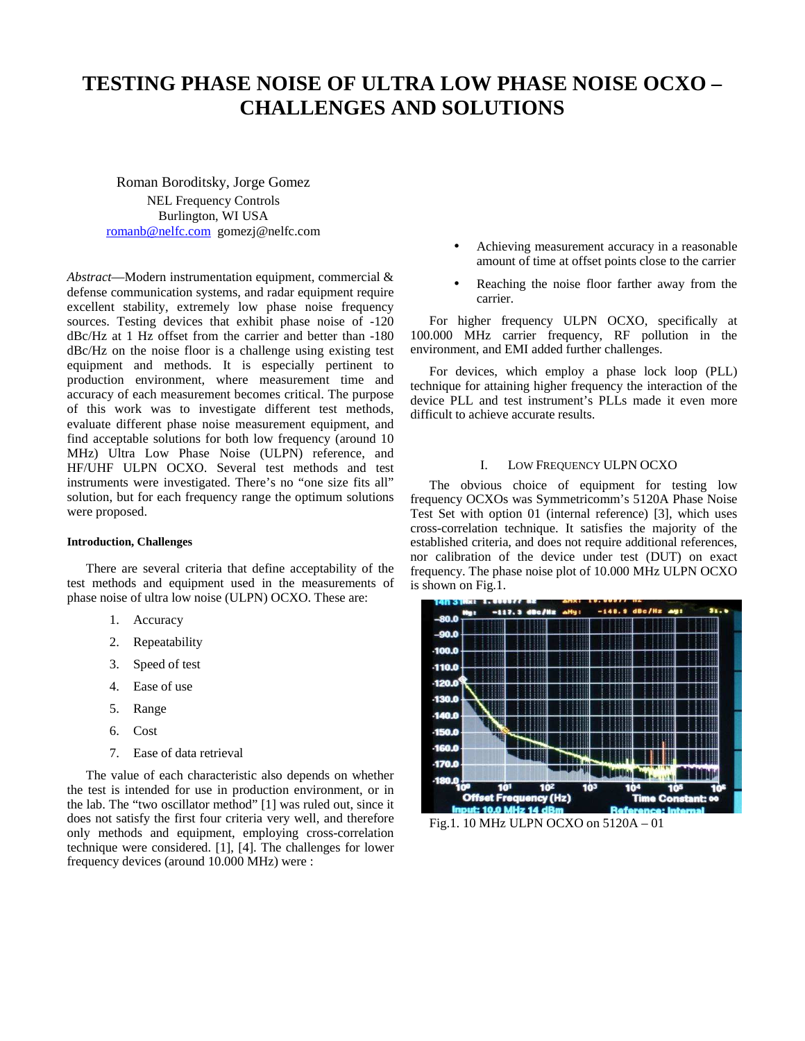# **TESTING PHASE NOISE OF ULTRA LOW PHASE NOISE OCXO – CHALLENGES AND SOLUTIONS**

Roman Boroditsky, Jorge Gomez NEL Frequency Controls Burlington, WI USA romanb@nelfc.com gomezj@nelfc.com

*Abstract*—Modern instrumentation equipment, commercial & defense communication systems, and radar equipment require excellent stability, extremely low phase noise frequency sources. Testing devices that exhibit phase noise of -120 dBc/Hz at 1 Hz offset from the carrier and better than -180 dBc/Hz on the noise floor is a challenge using existing test equipment and methods. It is especially pertinent to production environment, where measurement time and accuracy of each measurement becomes critical. The purpose of this work was to investigate different test methods, evaluate different phase noise measurement equipment, and find acceptable solutions for both low frequency (around 10 MHz) Ultra Low Phase Noise (ULPN) reference, and HF/UHF ULPN OCXO. Several test methods and test instruments were investigated. There's no "one size fits all" solution, but for each frequency range the optimum solutions were proposed.

## **Introduction, Challenges**

There are several criteria that define acceptability of the test methods and equipment used in the measurements of phase noise of ultra low noise (ULPN) OCXO. These are:

- 1. Accuracy
- 2. Repeatability
- 3. Speed of test
- 4. Ease of use
- 5. Range
- 6. Cost
- 7. Ease of data retrieval

The value of each characteristic also depends on whether the test is intended for use in production environment, or in the lab. The "two oscillator method" [1] was ruled out, since it does not satisfy the first four criteria very well, and therefore only methods and equipment, employing cross-correlation technique were considered. [1], [4]. The challenges for lower frequency devices (around 10.000 MHz) were :

- Achieving measurement accuracy in a reasonable amount of time at offset points close to the carrier
- Reaching the noise floor farther away from the carrier.

For higher frequency ULPN OCXO, specifically at 100.000 MHz carrier frequency, RF pollution in the environment, and EMI added further challenges.

For devices, which employ a phase lock loop (PLL) technique for attaining higher frequency the interaction of the device PLL and test instrument's PLLs made it even more difficult to achieve accurate results.

### I. LOW FREQUENCY ULPN OCXO

The obvious choice of equipment for testing low frequency OCXOs was Symmetricomm's 5120A Phase Noise Test Set with option 01 (internal reference) [3], which uses cross-correlation technique. It satisfies the majority of the established criteria, and does not require additional references, nor calibration of the device under test (DUT) on exact frequency. The phase noise plot of 10.000 MHz ULPN OCXO is shown on Fig.1.



Fig.1. 10 MHz ULPN OCXO on 5120A – 01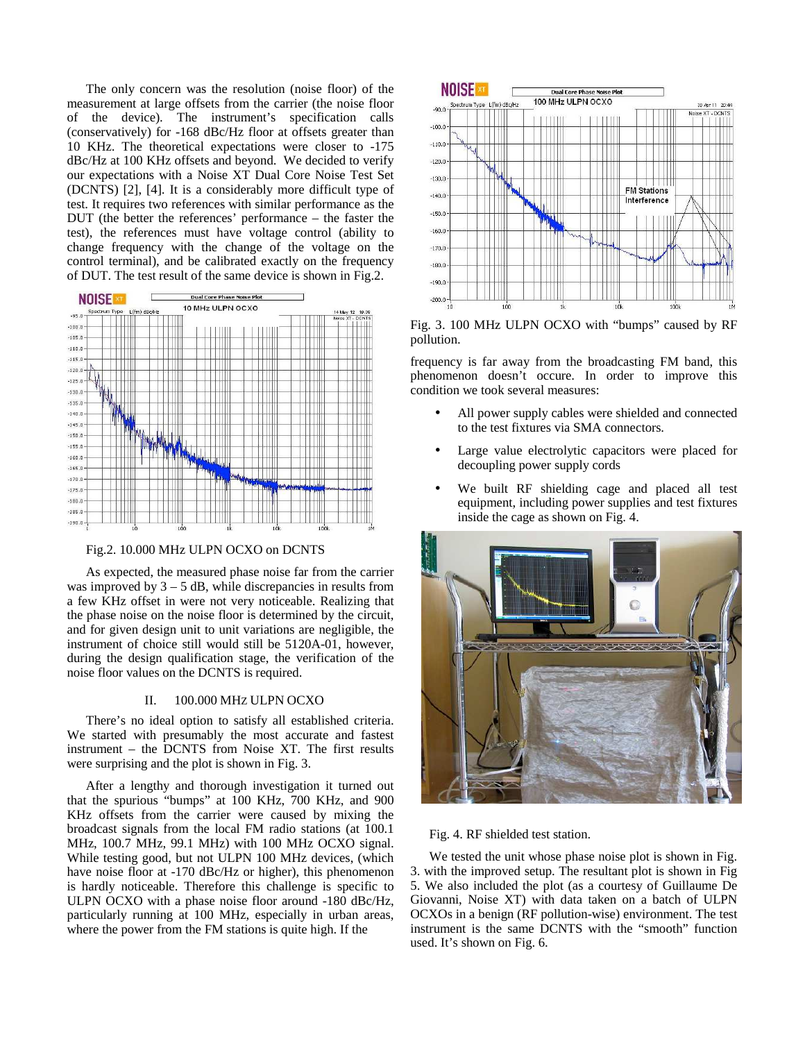The only concern was the resolution (noise floor) of the measurement at large offsets from the carrier (the noise floor of the device). The instrument's specification calls (conservatively) for -168 dBc/Hz floor at offsets greater than 10 KHz. The theoretical expectations were closer to -175 dBc/Hz at 100 KHz offsets and beyond. We decided to verify our expectations with a Noise XT Dual Core Noise Test Set (DCNTS) [2], [4]. It is a considerably more difficult type of test. It requires two references with similar performance as the DUT (the better the references' performance – the faster the test), the references must have voltage control (ability to change frequency with the change of the voltage on the control terminal), and be calibrated exactly on the frequency of DUT. The test result of the same device is shown in Fig.2.



Fig.2. 10.000 MHz ULPN OCXO on DCNTS

As expected, the measured phase noise far from the carrier was improved by  $3 - 5$  dB, while discrepancies in results from a few KHz offset in were not very noticeable. Realizing that the phase noise on the noise floor is determined by the circuit, and for given design unit to unit variations are negligible, the instrument of choice still would still be 5120A-01, however, during the design qualification stage, the verification of the noise floor values on the DCNTS is required.

### II. 100.000 MHZ ULPN OCXO

There's no ideal option to satisfy all established criteria. We started with presumably the most accurate and fastest instrument – the DCNTS from Noise XT. The first results were surprising and the plot is shown in Fig. 3.

After a lengthy and thorough investigation it turned out that the spurious "bumps" at 100 KHz, 700 KHz, and 900 KHz offsets from the carrier were caused by mixing the broadcast signals from the local FM radio stations (at 100.1 MHz, 100.7 MHz, 99.1 MHz) with 100 MHz OCXO signal. While testing good, but not ULPN 100 MHz devices, (which have noise floor at -170 dBc/Hz or higher), this phenomenon is hardly noticeable. Therefore this challenge is specific to ULPN OCXO with a phase noise floor around -180 dBc/Hz, particularly running at 100 MHz, especially in urban areas, where the power from the FM stations is quite high. If the



Fig. 3. 100 MHz ULPN OCXO with "bumps" caused by RF pollution.

frequency is far away from the broadcasting FM band, this phenomenon doesn't occure. In order to improve this condition we took several measures:

- All power supply cables were shielded and connected to the test fixtures via SMA connectors.
- Large value electrolytic capacitors were placed for decoupling power supply cords
- We built RF shielding cage and placed all test equipment, including power supplies and test fixtures inside the cage as shown on Fig. 4.



Fig. 4. RF shielded test station.

We tested the unit whose phase noise plot is shown in Fig. 3. with the improved setup. The resultant plot is shown in Fig 5. We also included the plot (as a courtesy of Guillaume De Giovanni, Noise XT) with data taken on a batch of ULPN OCXOs in a benign (RF pollution-wise) environment. The test instrument is the same DCNTS with the "smooth" function used. It's shown on Fig. 6.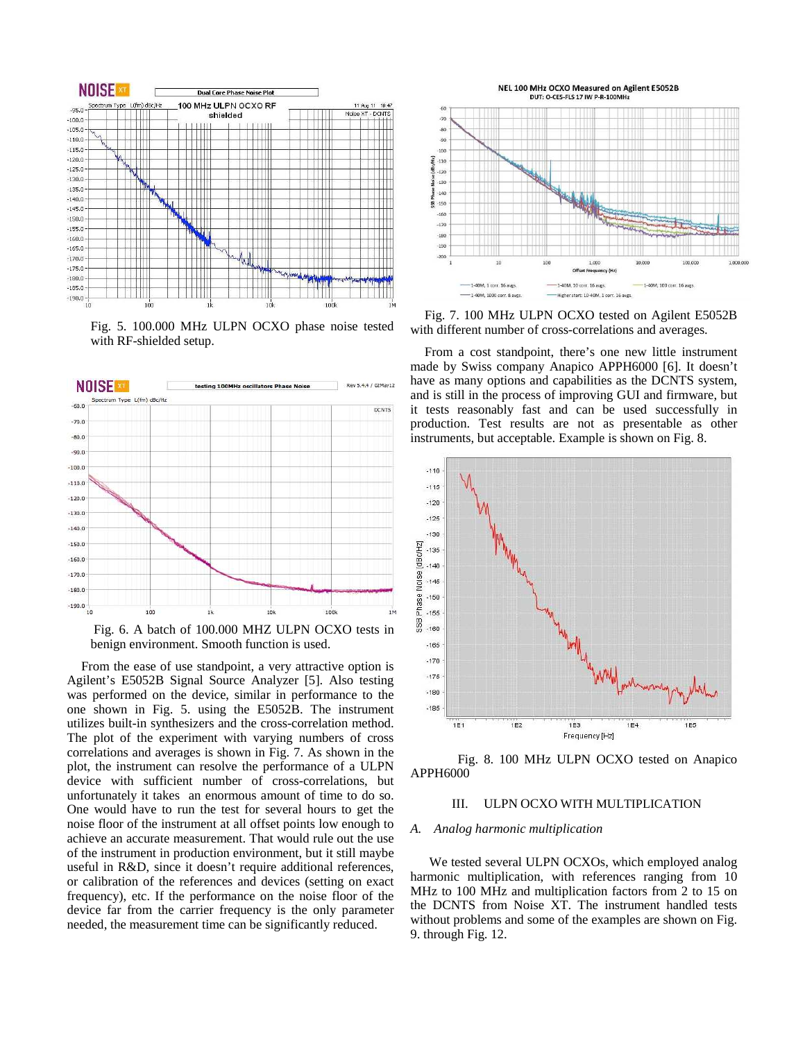

Fig. 5. 100.000 MHz ULPN OCXO phase noise tested with RF-shielded setup.



 Fig. 6. A batch of 100.000 MHZ ULPN OCXO tests in benign environment. Smooth function is used.

From the ease of use standpoint, a very attractive option is Agilent's E5052B Signal Source Analyzer [5]. Also testing was performed on the device, similar in performance to the one shown in Fig. 5. using the E5052B. The instrument utilizes built-in synthesizers and the cross-correlation method. The plot of the experiment with varying numbers of cross correlations and averages is shown in Fig. 7. As shown in the plot, the instrument can resolve the performance of a ULPN device with sufficient number of cross-correlations, but unfortunately it takes an enormous amount of time to do so. One would have to run the test for several hours to get the noise floor of the instrument at all offset points low enough to achieve an accurate measurement. That would rule out the use of the instrument in production environment, but it still maybe useful in R&D, since it doesn't require additional references, or calibration of the references and devices (setting on exact frequency), etc. If the performance on the noise floor of the device far from the carrier frequency is the only parameter needed, the measurement time can be significantly reduced.



Fig. 7. 100 MHz ULPN OCXO tested on Agilent E5052B with different number of cross-correlations and averages.

From a cost standpoint, there's one new little instrument made by Swiss company Anapico APPH6000 [6]. It doesn't have as many options and capabilities as the DCNTS system, and is still in the process of improving GUI and firmware, but it tests reasonably fast and can be used successfully in production. Test results are not as presentable as other instruments, but acceptable. Example is shown on Fig. 8.



 Fig. 8. 100 MHz ULPN OCXO tested on Anapico APPH6000

## III. ULPN OCXO WITH MULTIPLICATION

### *A. Analog harmonic multiplication*

We tested several ULPN OCXOs, which employed analog harmonic multiplication, with references ranging from 10 MHz to 100 MHz and multiplication factors from 2 to 15 on the DCNTS from Noise XT. The instrument handled tests without problems and some of the examples are shown on Fig. 9. through Fig. 12.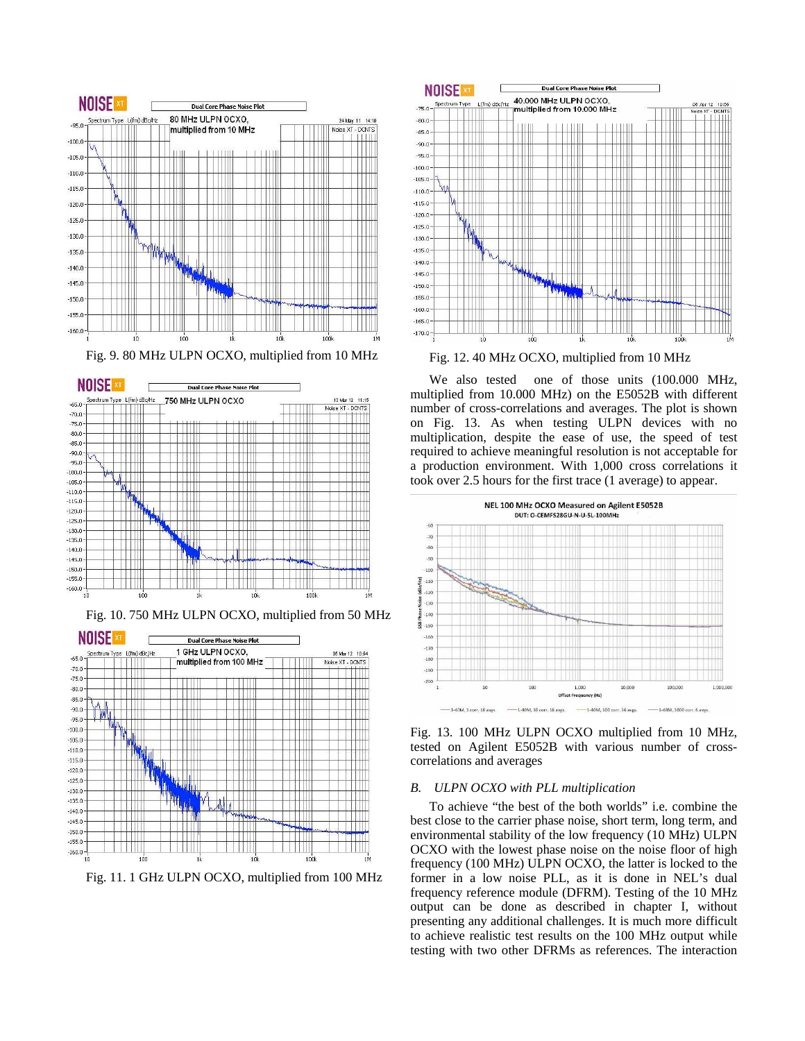





Fig. 10. 750 MHz ULPN OCXO, multiplied from 50 MHz



Fig. 11. 1 GHz ULPN OCXO, multiplied from 100 MHz



Fig. 12. 40 MHz OCXO, multiplied from 10 MHz

We also tested one of those units (100.000 MHz, multiplied from 10.000 MHz) on the E5052B with different number of cross-correlations and averages. The plot is shown on Fig. 13. As when testing ULPN devices with no multiplication, despite the ease of use, the speed of test required to achieve meaningful resolution is not acceptable for a production environment. With 1,000 cross correlations it took over 2.5 hours for the first trace (1 average) to appear.



Fig. 13. 100 MHz ULPN OCXO multiplied from 10 MHz, tested on Agilent E5052B with various number of crosscorrelations and averages

## *B. ULPN OCXO with PLL multiplication*

To achieve "the best of the both worlds" i.e. combine the best close to the carrier phase noise, short term, long term, and environmental stability of the low frequency (10 MHz) ULPN OCXO with the lowest phase noise on the noise floor of high frequency (100 MHz) ULPN OCXO, the latter is locked to the former in a low noise PLL, as it is done in NEL's dual frequency reference module (DFRM). Testing of the 10 MHz output can be done as described in chapter I, without presenting any additional challenges. It is much more difficult to achieve realistic test results on the 100 MHz output while testing with two other DFRMs as references. The interaction